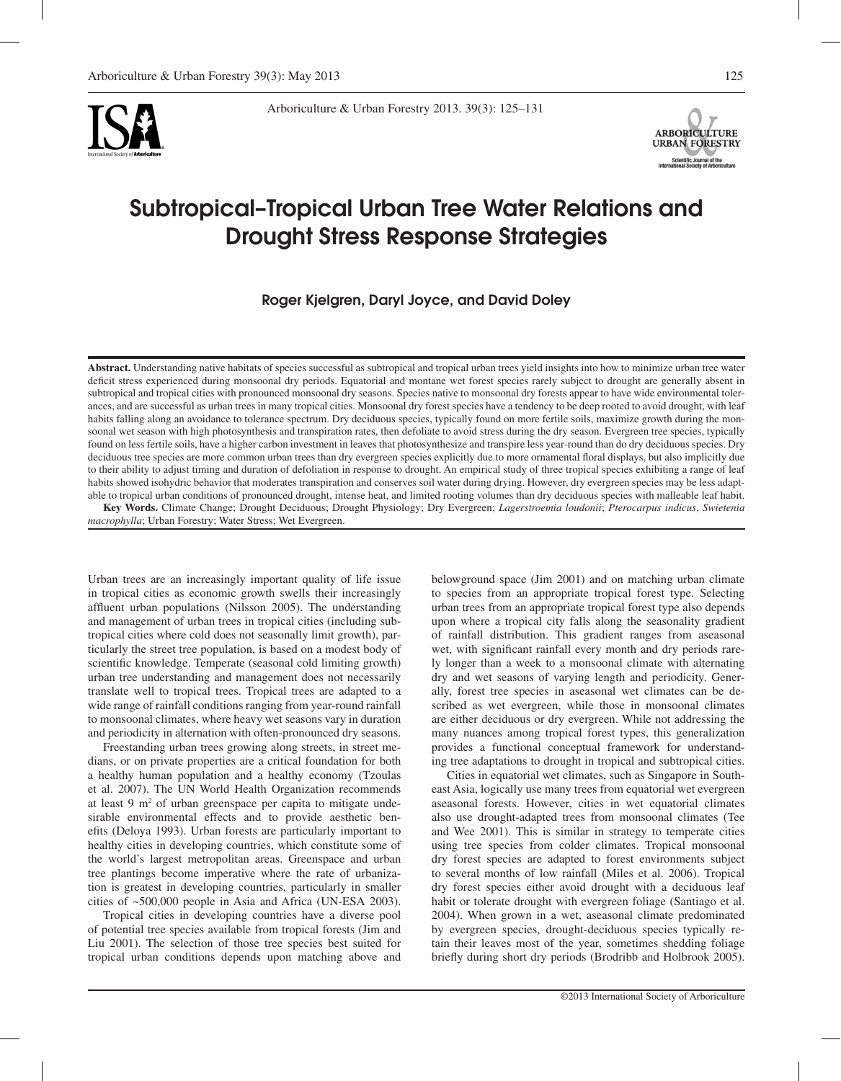

Arboriculture & Urban Forestry 2013. 39(3): 125–131



# Subtropical–Tropical Urban Tree Water Relations and Drought Stress Response Strategies

Roger Kjelgren, Daryl Joyce, and David Doley

**Abstract.** Understanding native habitats of species successful as subtropical and tropical urban trees yield insights into how to minimize urban tree water deficit stress experienced during monsoonal dry periods. Equatorial and montane wet forest species rarely subject to drought are generally absent in subtropical and tropical cities with pronounced monsoonal dry seasons. Species native to monsoonal dry forests appear to have wide environmental tolerances, and are successful as urban trees in many tropical cities. Monsoonal dry forest species have a tendency to be deep rooted to avoid drought, with leaf habits falling along an avoidance to tolerance spectrum. Dry deciduous species, typically found on more fertile soils, maximize growth during the monsoonal wet season with high photosynthesis and transpiration rates, then defoliate to avoid stress during the dry season. Evergreen tree species, typically found on less fertile soils, have a higher carbon investment in leaves that photosynthesize and transpire less year-round than do dry deciduous species. Dry deciduous tree species are more common urban trees than dry evergreen species explicitly due to more ornamental floral displays, but also implicitly due to their ability to adjust timing and duration of defoliation in response to drought. An empirical study of three tropical species exhibiting a range of leaf habits showed isohydric behavior that moderates transpiration and conserves soil water during drying. However, dry evergreen species may be less adaptable to tropical urban conditions of pronounced drought, intense heat, and limited rooting volumes than dry deciduous species with malleable leaf habit. **Key Words.** Climate Change; Drought Deciduous; Drought Physiology; Dry Evergreen; *Lagerstroemia loudonii*; *Pterocarpus indicus*, *Swietenia macrophylla*; Urban Forestry; Water Stress; Wet Evergreen.

Urban trees are an increasingly important quality of life issue in tropical cities as economic growth swells their increasingly affluent urban populations (Nilsson 2005). The understanding and management of urban trees in tropical cities (including subtropical cities where cold does not seasonally limit growth), particularly the street tree population, is based on a modest body of scientific knowledge. Temperate (seasonal cold limiting growth) urban tree understanding and management does not necessarily translate well to tropical trees. Tropical trees are adapted to a wide range of rainfall conditions ranging from year-round rainfall to monsoonal climates, where heavy wet seasons vary in duration and periodicity in alternation with often-pronounced dry seasons.

Freestanding urban trees growing along streets, in street medians, or on private properties are a critical foundation for both a healthy human population and a healthy economy (Tzoulas et al. 2007). The UN World Health Organization recommends at least 9  $m<sup>2</sup>$  of urban greenspace per capita to mitigate undesirable environmental effects and to provide aesthetic benefits (Deloya 1993). Urban forests are particularly important to healthy cities in developing countries, which constitute some of the world's largest metropolitan areas. Greenspace and urban tree plantings become imperative where the rate of urbanization is greatest in developing countries, particularly in smaller cities of ~500,000 people in Asia and Africa (UN-ESA 2003).

Tropical cities in developing countries have a diverse pool of potential tree species available from tropical forests (Jim and Liu 2001). The selection of those tree species best suited for tropical urban conditions depends upon matching above and

belowground space (Jim 2001) and on matching urban climate to species from an appropriate tropical forest type. Selecting urban trees from an appropriate tropical forest type also depends upon where a tropical city falls along the seasonality gradient of rainfall distribution. This gradient ranges from aseasonal wet, with significant rainfall every month and dry periods rarely longer than a week to a monsoonal climate with alternating dry and wet seasons of varying length and periodicity. Generally, forest tree species in aseasonal wet climates can be described as wet evergreen, while those in monsoonal climates are either deciduous or dry evergreen. While not addressing the many nuances among tropical forest types, this generalization provides a functional conceptual framework for understanding tree adaptations to drought in tropical and subtropical cities.

Cities in equatorial wet climates, such as Singapore in Southeast Asia, logically use many trees from equatorial wet evergreen aseasonal forests. However, cities in wet equatorial climates also use drought-adapted trees from monsoonal climates (Tee and Wee 2001). This is similar in strategy to temperate cities using tree species from colder climates. Tropical monsoonal dry forest species are adapted to forest environments subject to several months of low rainfall (Miles et al. 2006). Tropical dry forest species either avoid drought with a deciduous leaf habit or tolerate drought with evergreen foliage (Santiago et al. 2004). When grown in a wet, aseasonal climate predominated by evergreen species, drought-deciduous species typically retain their leaves most of the year, sometimes shedding foliage briefly during short dry periods (Brodribb and Holbrook 2005).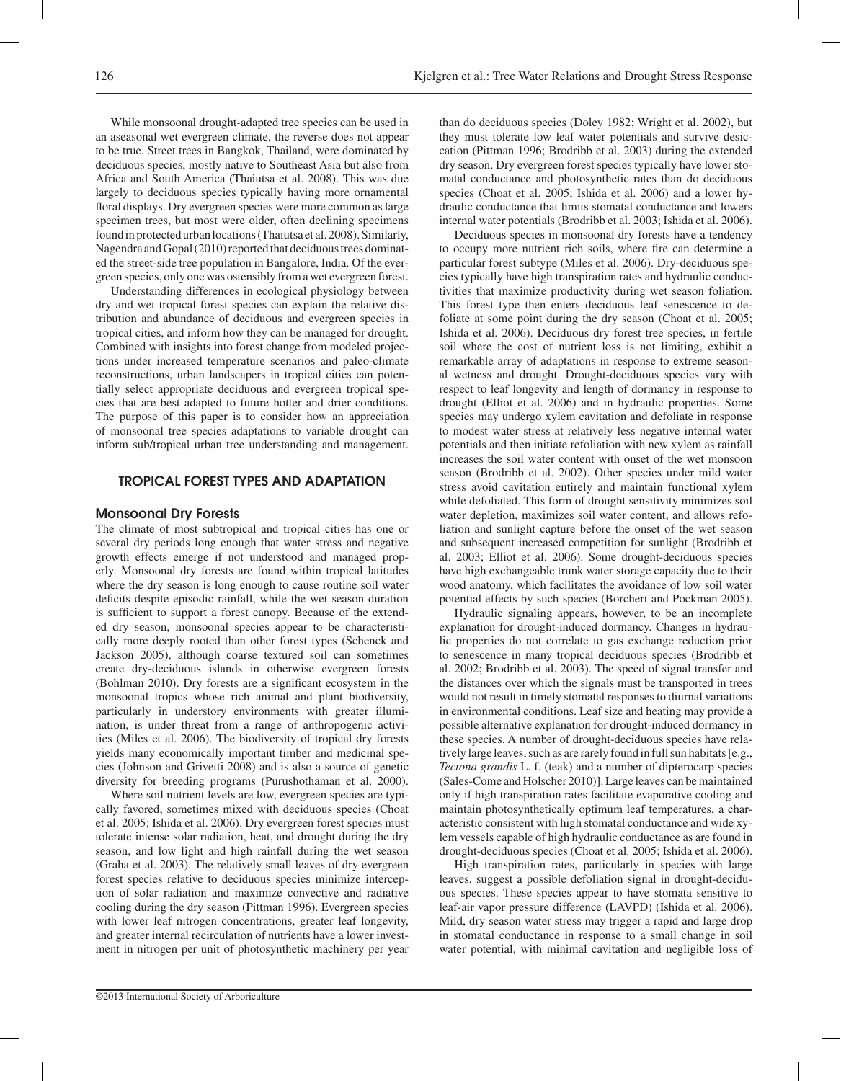Kjelgren et al.: Tree Water Relations and Drought Stress Response

While monsoonal drought-adapted tree species can be used in an aseasonal wet evergreen climate, the reverse does not appear to be true. Street trees in Bangkok, Thailand, were dominated by deciduous species, mostly native to Southeast Asia but also from Africa and South America (Thaiutsa et al. 2008). This was due largely to deciduous species typically having more ornamental floral displays. Dry evergreen species were more common as large specimen trees, but most were older, often declining specimens found in protected urban locations (Thaiutsa et al. 2008). Similarly, Nagendra and Gopal (2010) reported that deciduous trees dominated the street-side tree population in Bangalore, India. Of the evergreen species, only one was ostensibly from a wet evergreen forest.

Understanding differences in ecological physiology between dry and wet tropical forest species can explain the relative distribution and abundance of deciduous and evergreen species in tropical cities, and inform how they can be managed for drought. Combined with insights into forest change from modeled projections under increased temperature scenarios and paleo-climate reconstructions, urban landscapers in tropical cities can potentially select appropriate deciduous and evergreen tropical species that are best adapted to future hotter and drier conditions. The purpose of this paper is to consider how an appreciation of monsoonal tree species adaptations to variable drought can inform sub/tropical urban tree understanding and management.

## TROPICAL FOREST TYPES AND ADAPTATION

## Monsoonal Dry Forests

The climate of most subtropical and tropical cities has one or several dry periods long enough that water stress and negative growth effects emerge if not understood and managed properly. Monsoonal dry forests are found within tropical latitudes where the dry season is long enough to cause routine soil water deficits despite episodic rainfall, while the wet season duration is sufficient to support a forest canopy. Because of the extended dry season, monsoonal species appear to be characteristically more deeply rooted than other forest types (Schenck and Jackson 2005), although coarse textured soil can sometimes create dry-deciduous islands in otherwise evergreen forests (Bohlman 2010). Dry forests are a significant ecosystem in the monsoonal tropics whose rich animal and plant biodiversity, particularly in understory environments with greater illumination, is under threat from a range of anthropogenic activities (Miles et al. 2006). The biodiversity of tropical dry forests yields many economically important timber and medicinal species (Johnson and Grivetti 2008) and is also a source of genetic diversity for breeding programs (Purushothaman et al. 2000).

Where soil nutrient levels are low, evergreen species are typically favored, sometimes mixed with deciduous species (Choat et al. 2005; Ishida et al. 2006). Dry evergreen forest species must tolerate intense solar radiation, heat, and drought during the dry season, and low light and high rainfall during the wet season (Graha et al. 2003). The relatively small leaves of dry evergreen forest species relative to deciduous species minimize interception of solar radiation and maximize convective and radiative cooling during the dry season (Pittman 1996). Evergreen species with lower leaf nitrogen concentrations, greater leaf longevity, and greater internal recirculation of nutrients have a lower investment in nitrogen per unit of photosynthetic machinery per year

than do deciduous species (Doley 1982; Wright et al. 2002), but they must tolerate low leaf water potentials and survive desiccation (Pittman 1996; Brodribb et al. 2003) during the extended dry season. Dry evergreen forest species typically have lower stomatal conductance and photosynthetic rates than do deciduous species (Choat et al. 2005; Ishida et al. 2006) and a lower hydraulic conductance that limits stomatal conductance and lowers internal water potentials (Brodribb et al. 2003; Ishida et al. 2006).

Deciduous species in monsoonal dry forests have a tendency to occupy more nutrient rich soils, where fire can determine a particular forest subtype (Miles et al. 2006). Dry-deciduous species typically have high transpiration rates and hydraulic conductivities that maximize productivity during wet season foliation. This forest type then enters deciduous leaf senescence to defoliate at some point during the dry season (Choat et al. 2005; Ishida et al. 2006). Deciduous dry forest tree species, in fertile soil where the cost of nutrient loss is not limiting, exhibit a remarkable array of adaptations in response to extreme seasonal wetness and drought. Drought-deciduous species vary with respect to leaf longevity and length of dormancy in response to drought (Elliot et al. 2006) and in hydraulic properties. Some species may undergo xylem cavitation and defoliate in response to modest water stress at relatively less negative internal water potentials and then initiate refoliation with new xylem as rainfall increases the soil water content with onset of the wet monsoon season (Brodribb et al. 2002). Other species under mild water stress avoid cavitation entirely and maintain functional xylem while defoliated. This form of drought sensitivity minimizes soil water depletion, maximizes soil water content, and allows refoliation and sunlight capture before the onset of the wet season and subsequent increased competition for sunlight (Brodribb et al. 2003; Elliot et al. 2006). Some drought-deciduous species have high exchangeable trunk water storage capacity due to their wood anatomy, which facilitates the avoidance of low soil water potential effects by such species (Borchert and Pockman 2005).

Hydraulic signaling appears, however, to be an incomplete explanation for drought-induced dormancy. Changes in hydraulic properties do not correlate to gas exchange reduction prior to senescence in many tropical deciduous species (Brodribb et al. 2002; Brodribb et al. 2003). The speed of signal transfer and the distances over which the signals must be transported in trees would not result in timely stomatal responses to diurnal variations in environmental conditions. Leaf size and heating may provide a possible alternative explanation for drought-induced dormancy in these species. A number of drought-deciduous species have relatively large leaves, such as are rarely found in full sun habitats [e.g., *Tectona grandis* L. f. (teak) and a number of dipterocarp species (Sales-Come and Holscher 2010)]. Large leaves can be maintained only if high transpiration rates facilitate evaporative cooling and maintain photosynthetically optimum leaf temperatures, a characteristic consistent with high stomatal conductance and wide xylem vessels capable of high hydraulic conductance as are found in drought-deciduous species (Choat et al. 2005; Ishida et al. 2006).

High transpiration rates, particularly in species with large leaves, suggest a possible defoliation signal in drought-deciduous species. These species appear to have stomata sensitive to leaf-air vapor pressure difference (LAVPD) (Ishida et al. 2006). Mild, dry season water stress may trigger a rapid and large drop in stomatal conductance in response to a small change in soil water potential, with minimal cavitation and negligible loss of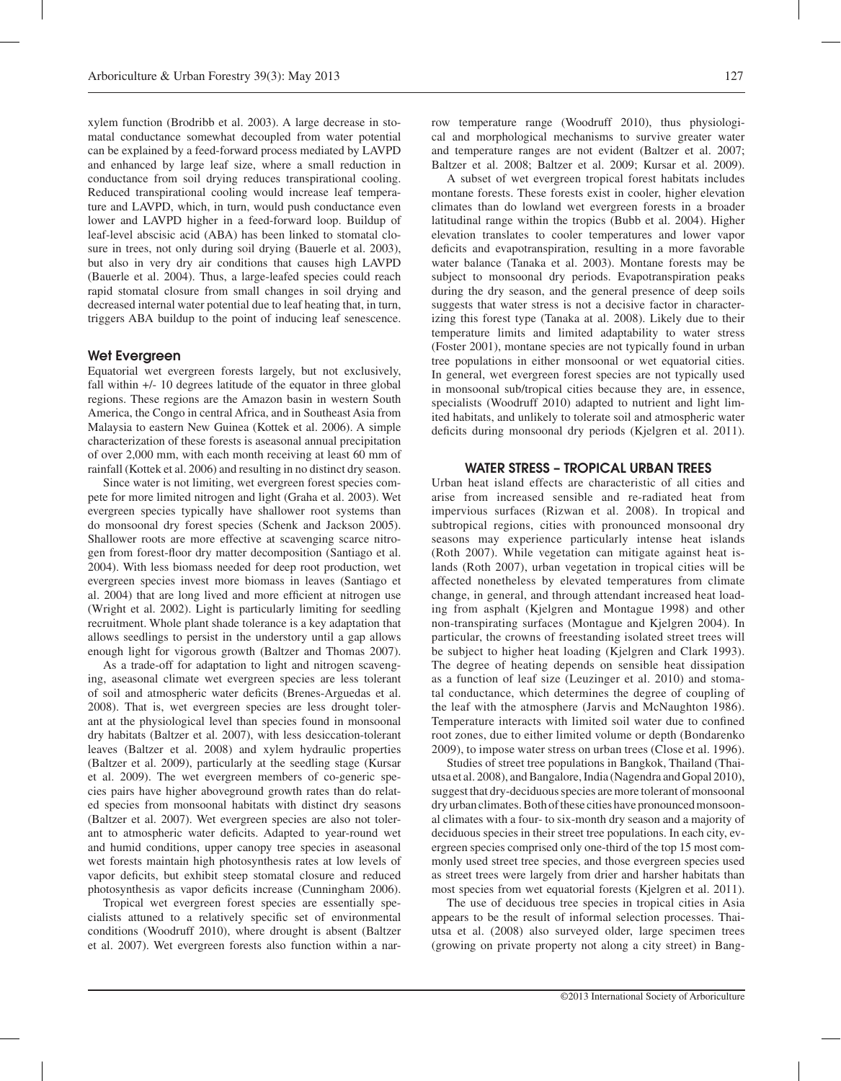xylem function (Brodribb et al. 2003). A large decrease in stomatal conductance somewhat decoupled from water potential can be explained by a feed-forward process mediated by LAVPD and enhanced by large leaf size, where a small reduction in conductance from soil drying reduces transpirational cooling. Reduced transpirational cooling would increase leaf temperature and LAVPD, which, in turn, would push conductance even lower and LAVPD higher in a feed-forward loop. Buildup of leaf-level abscisic acid (ABA) has been linked to stomatal closure in trees, not only during soil drying (Bauerle et al. 2003), but also in very dry air conditions that causes high LAVPD (Bauerle et al. 2004). Thus, a large-leafed species could reach rapid stomatal closure from small changes in soil drying and decreased internal water potential due to leaf heating that, in turn, triggers ABA buildup to the point of inducing leaf senescence.

# Wet Evergreen

Equatorial wet evergreen forests largely, but not exclusively, fall within +/- 10 degrees latitude of the equator in three global regions. These regions are the Amazon basin in western South America, the Congo in central Africa, and in Southeast Asia from Malaysia to eastern New Guinea (Kottek et al. 2006). A simple characterization of these forests is aseasonal annual precipitation of over 2,000 mm, with each month receiving at least 60 mm of rainfall (Kottek et al. 2006) and resulting in no distinct dry season.

Since water is not limiting, wet evergreen forest species compete for more limited nitrogen and light (Graha et al. 2003). Wet evergreen species typically have shallower root systems than do monsoonal dry forest species (Schenk and Jackson 2005). Shallower roots are more effective at scavenging scarce nitrogen from forest-floor dry matter decomposition (Santiago et al. 2004). With less biomass needed for deep root production, wet evergreen species invest more biomass in leaves (Santiago et al. 2004) that are long lived and more efficient at nitrogen use (Wright et al. 2002). Light is particularly limiting for seedling recruitment. Whole plant shade tolerance is a key adaptation that allows seedlings to persist in the understory until a gap allows enough light for vigorous growth (Baltzer and Thomas 2007).

As a trade-off for adaptation to light and nitrogen scavenging, aseasonal climate wet evergreen species are less tolerant of soil and atmospheric water deficits (Brenes-Arguedas et al. 2008). That is, wet evergreen species are less drought tolerant at the physiological level than species found in monsoonal dry habitats (Baltzer et al. 2007), with less desiccation-tolerant leaves (Baltzer et al. 2008) and xylem hydraulic properties (Baltzer et al. 2009), particularly at the seedling stage (Kursar et al. 2009). The wet evergreen members of co-generic species pairs have higher aboveground growth rates than do related species from monsoonal habitats with distinct dry seasons (Baltzer et al. 2007). Wet evergreen species are also not tolerant to atmospheric water deficits. Adapted to year-round wet and humid conditions, upper canopy tree species in aseasonal wet forests maintain high photosynthesis rates at low levels of vapor deficits, but exhibit steep stomatal closure and reduced photosynthesis as vapor deficits increase (Cunningham 2006).

Tropical wet evergreen forest species are essentially specialists attuned to a relatively specific set of environmental conditions (Woodruff 2010), where drought is absent (Baltzer et al. 2007). Wet evergreen forests also function within a narrow temperature range (Woodruff 2010), thus physiological and morphological mechanisms to survive greater water and temperature ranges are not evident (Baltzer et al. 2007; Baltzer et al. 2008; Baltzer et al. 2009; Kursar et al. 2009).

A subset of wet evergreen tropical forest habitats includes montane forests. These forests exist in cooler, higher elevation climates than do lowland wet evergreen forests in a broader latitudinal range within the tropics (Bubb et al. 2004). Higher elevation translates to cooler temperatures and lower vapor deficits and evapotranspiration, resulting in a more favorable water balance (Tanaka et al. 2003). Montane forests may be subject to monsoonal dry periods. Evapotranspiration peaks during the dry season, and the general presence of deep soils suggests that water stress is not a decisive factor in characterizing this forest type (Tanaka at al. 2008). Likely due to their temperature limits and limited adaptability to water stress (Foster 2001), montane species are not typically found in urban tree populations in either monsoonal or wet equatorial cities. In general, wet evergreen forest species are not typically used in monsoonal sub/tropical cities because they are, in essence, specialists (Woodruff 2010) adapted to nutrient and light limited habitats, and unlikely to tolerate soil and atmospheric water deficits during monsoonal dry periods (Kjelgren et al. 2011).

# WATER STRESS – TROPICAL URBAN TREES

Urban heat island effects are characteristic of all cities and arise from increased sensible and re-radiated heat from impervious surfaces (Rizwan et al. 2008). In tropical and subtropical regions, cities with pronounced monsoonal dry seasons may experience particularly intense heat islands (Roth 2007). While vegetation can mitigate against heat islands (Roth 2007), urban vegetation in tropical cities will be affected nonetheless by elevated temperatures from climate change, in general, and through attendant increased heat loading from asphalt (Kjelgren and Montague 1998) and other non-transpirating surfaces (Montague and Kjelgren 2004). In particular, the crowns of freestanding isolated street trees will be subject to higher heat loading (Kjelgren and Clark 1993). The degree of heating depends on sensible heat dissipation as a function of leaf size (Leuzinger et al. 2010) and stomatal conductance, which determines the degree of coupling of the leaf with the atmosphere (Jarvis and McNaughton 1986). Temperature interacts with limited soil water due to confined root zones, due to either limited volume or depth (Bondarenko 2009), to impose water stress on urban trees (Close et al. 1996).

Studies of street tree populations in Bangkok, Thailand (Thaiutsa et al. 2008), and Bangalore, India (Nagendra and Gopal 2010), suggest that dry-deciduous species are more tolerant of monsoonal dry urban climates. Both of these cities have pronounced monsoonal climates with a four- to six-month dry season and a majority of deciduous species in their street tree populations. In each city, evergreen species comprised only one-third of the top 15 most commonly used street tree species, and those evergreen species used as street trees were largely from drier and harsher habitats than most species from wet equatorial forests (Kjelgren et al. 2011).

The use of deciduous tree species in tropical cities in Asia appears to be the result of informal selection processes. Thaiutsa et al. (2008) also surveyed older, large specimen trees (growing on private property not along a city street) in Bang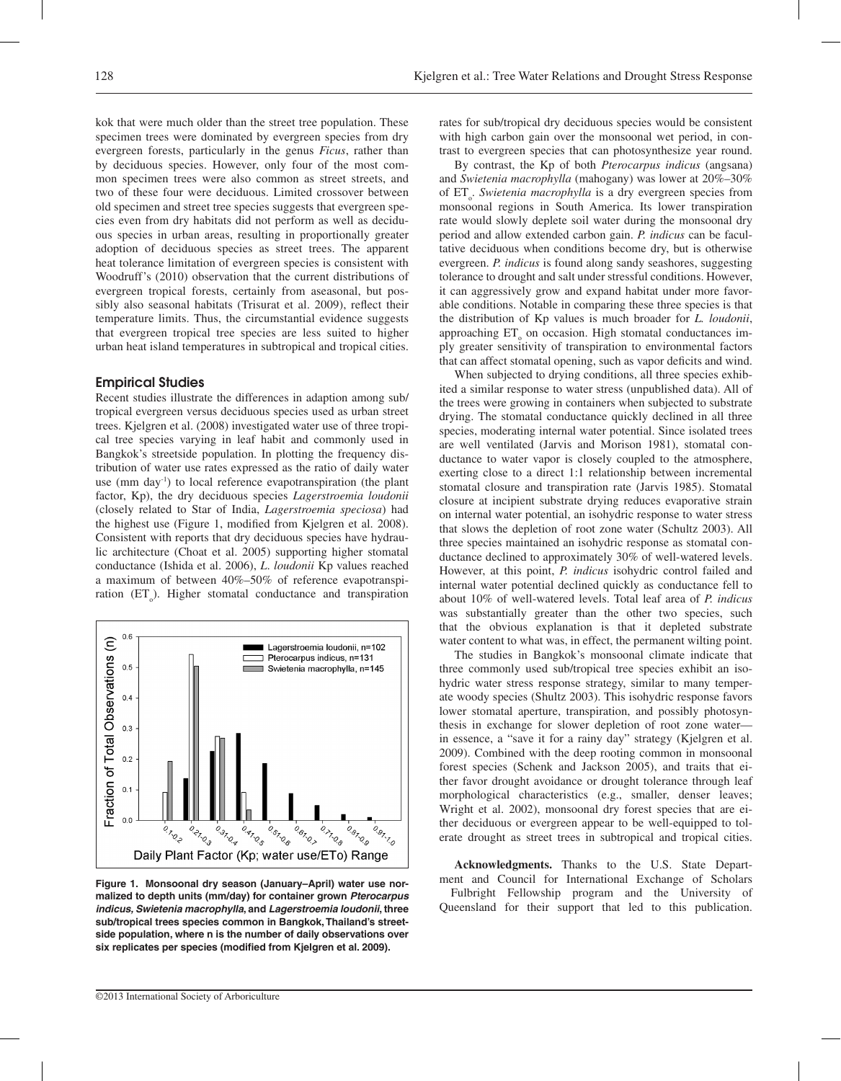kok that were much older than the street tree population. These specimen trees were dominated by evergreen species from dry evergreen forests, particularly in the genus *Ficus*, rather than by deciduous species. However, only four of the most common specimen trees were also common as street streets, and two of these four were deciduous. Limited crossover between old specimen and street tree species suggests that evergreen species even from dry habitats did not perform as well as deciduous species in urban areas, resulting in proportionally greater adoption of deciduous species as street trees. The apparent heat tolerance limitation of evergreen species is consistent with Woodruff's (2010) observation that the current distributions of evergreen tropical forests, certainly from aseasonal, but possibly also seasonal habitats (Trisurat et al. 2009), reflect their temperature limits. Thus, the circumstantial evidence suggests that evergreen tropical tree species are less suited to higher urban heat island temperatures in subtropical and tropical cities.

### Empirical Studies

Recent studies illustrate the differences in adaption among sub/ tropical evergreen versus deciduous species used as urban street trees. Kjelgren et al. (2008) investigated water use of three tropical tree species varying in leaf habit and commonly used in Bangkok's streetside population. In plotting the frequency distribution of water use rates expressed as the ratio of daily water use (mm day<sup>-1</sup>) to local reference evapotranspiration (the plant factor, Kp), the dry deciduous species *Lagerstroemia loudonii* (closely related to Star of India, *Lagerstroemia speciosa*) had the highest use (Figure 1, modified from Kjelgren et al. 2008). Consistent with reports that dry deciduous species have hydraulic architecture (Choat et al. 2005) supporting higher stomatal conductance (Ishida et al. 2006), *L*. *loudonii* Kp values reached a maximum of between 40%–50% of reference evapotranspiration (ET<sub>o</sub>). Higher stomatal conductance and transpiration



**Figure 1. Monsoonal dry season (January–April) water use normalized to depth units (mm/day) for container grown** *Pterocarpus indicus, Swietenia macrophylla***, and** *Lagerstroemia loudonii***, three sub/tropical trees species common in Bangkok, Thailand's streetside population, where n is the number of daily observations over six replicates per species (modified from Kjelgren et al. 2009).** 

rates for sub/tropical dry deciduous species would be consistent with high carbon gain over the monsoonal wet period, in contrast to evergreen species that can photosynthesize year round.

By contrast, the Kp of both *Pterocarpus indicus* (angsana) and *Swietenia macrophylla* (mahogany) was lower at 20%–30% of ET<sub>0</sub>. Swietenia macrophylla is a dry evergreen species from monsoonal regions in South America. Its lower transpiration rate would slowly deplete soil water during the monsoonal dry period and allow extended carbon gain. *P. indicus* can be facultative deciduous when conditions become dry, but is otherwise evergreen. *P. indicus* is found along sandy seashores, suggesting tolerance to drought and salt under stressful conditions. However, it can aggressively grow and expand habitat under more favorable conditions. Notable in comparing these three species is that the distribution of Kp values is much broader for *L. loudonii*, approaching  $ET_{\circ}$  on occasion. High stomatal conductances imply greater sensitivity of transpiration to environmental factors that can affect stomatal opening, such as vapor deficits and wind.

When subjected to drying conditions, all three species exhibited a similar response to water stress (unpublished data). All of the trees were growing in containers when subjected to substrate drying. The stomatal conductance quickly declined in all three species, moderating internal water potential. Since isolated trees are well ventilated (Jarvis and Morison 1981), stomatal conductance to water vapor is closely coupled to the atmosphere, exerting close to a direct 1:1 relationship between incremental stomatal closure and transpiration rate (Jarvis 1985). Stomatal closure at incipient substrate drying reduces evaporative strain on internal water potential, an isohydric response to water stress that slows the depletion of root zone water (Schultz 2003). All three species maintained an isohydric response as stomatal conductance declined to approximately 30% of well-watered levels. However, at this point, *P. indicus* isohydric control failed and internal water potential declined quickly as conductance fell to about 10% of well-watered levels. Total leaf area of *P. indicus* was substantially greater than the other two species, such that the obvious explanation is that it depleted substrate water content to what was, in effect, the permanent wilting point.

The studies in Bangkok's monsoonal climate indicate that three commonly used sub/tropical tree species exhibit an isohydric water stress response strategy, similar to many temperate woody species (Shultz 2003). This isohydric response favors lower stomatal aperture, transpiration, and possibly photosynthesis in exchange for slower depletion of root zone water in essence, a "save it for a rainy day" strategy (Kjelgren et al. 2009). Combined with the deep rooting common in monsoonal forest species (Schenk and Jackson 2005), and traits that either favor drought avoidance or drought tolerance through leaf morphological characteristics (e.g., smaller, denser leaves; Wright et al. 2002), monsoonal dry forest species that are either deciduous or evergreen appear to be well-equipped to tolerate drought as street trees in subtropical and tropical cities.

**Acknowledgments.** Thanks to the U.S. State Department and Council for International Exchange of Scholars Fulbright Fellowship program and the University of Queensland for their support that led to this publication.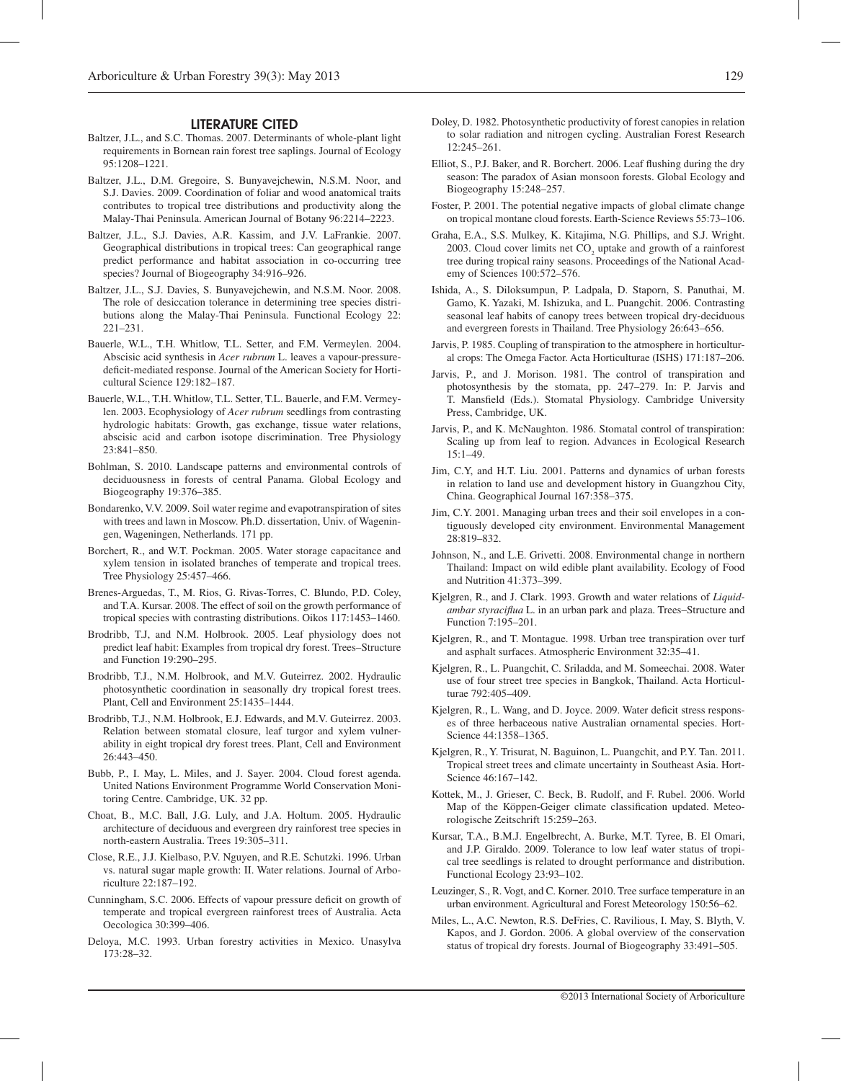#### Literature Cited

- Baltzer, J.L., and S.C. Thomas. 2007. Determinants of whole-plant light requirements in Bornean rain forest tree saplings. Journal of Ecology 95:1208–1221.
- Baltzer, J.L., D.M. Gregoire, S. Bunyavejchewin, N.S.M. Noor, and S.J. Davies. 2009. Coordination of foliar and wood anatomical traits contributes to tropical tree distributions and productivity along the Malay-Thai Peninsula. American Journal of Botany 96:2214–2223.
- Baltzer, J.L., S.J. Davies, A.R. Kassim, and J.V. LaFrankie. 2007. Geographical distributions in tropical trees: Can geographical range predict performance and habitat association in co-occurring tree species? Journal of Biogeography 34:916–926.
- Baltzer, J.L., S.J. Davies, S. Bunyavejchewin, and N.S.M. Noor. 2008. The role of desiccation tolerance in determining tree species distributions along the Malay-Thai Peninsula. Functional Ecology 22: 221–231.
- Bauerle, W.L., T.H. Whitlow, T.L. Setter, and F.M. Vermeylen. 2004. Abscisic acid synthesis in *Acer rubrum* L. leaves a vapour-pressuredeficit-mediated response. Journal of the American Society for Horticultural Science 129:182–187.
- Bauerle, W.L., T.H. Whitlow, T.L. Setter, T.L. Bauerle, and F.M. Vermeylen. 2003. Ecophysiology of *Acer rubrum* seedlings from contrasting hydrologic habitats: Growth, gas exchange, tissue water relations, abscisic acid and carbon isotope discrimination. Tree Physiology 23:841–850.
- Bohlman, S. 2010. Landscape patterns and environmental controls of deciduousness in forests of central Panama. Global Ecology and Biogeography 19:376–385.
- Bondarenko, V.V. 2009. Soil water regime and evapotranspiration of sites with trees and lawn in Moscow. Ph.D. dissertation, Univ. of Wageningen, Wageningen, Netherlands. 171 pp.
- Borchert, R., and W.T. Pockman. 2005. Water storage capacitance and xylem tension in isolated branches of temperate and tropical trees. Tree Physiology 25:457–466.
- Brenes-Arguedas, T., M. Rios, G. Rivas-Torres, C. Blundo, P.D. Coley, and T.A. Kursar. 2008. The effect of soil on the growth performance of tropical species with contrasting distributions. Oikos 117:1453–1460.
- Brodribb, T.J, and N.M. Holbrook. 2005. Leaf physiology does not predict leaf habit: Examples from tropical dry forest. Trees–Structure and Function 19:290–295.
- Brodribb, T.J., N.M. Holbrook, and M.V. Guteirrez. 2002. Hydraulic photosynthetic coordination in seasonally dry tropical forest trees. Plant, Cell and Environment 25:1435–1444.
- Brodribb, T.J., N.M. Holbrook, E.J. Edwards, and M.V. Guteirrez. 2003. Relation between stomatal closure, leaf turgor and xylem vulnerability in eight tropical dry forest trees. Plant, Cell and Environment 26:443–450.
- Bubb, P., I. May, L. Miles, and J. Sayer. 2004. Cloud forest agenda. United Nations Environment Programme World Conservation Monitoring Centre. Cambridge, UK. 32 pp.
- Choat, B., M.C. Ball, J.G. Luly, and J.A. Holtum. 2005. Hydraulic architecture of deciduous and evergreen dry rainforest tree species in north-eastern Australia. Trees 19:305–311.
- Close, R.E., J.J. Kielbaso, P.V. Nguyen, and R.E. Schutzki. 1996. Urban vs. natural sugar maple growth: II. Water relations. Journal of Arboriculture 22:187–192.
- Cunningham, S.C. 2006. Effects of vapour pressure deficit on growth of temperate and tropical evergreen rainforest trees of Australia. Acta Oecologica 30:399–406.
- Deloya, M.C. 1993. Urban forestry activities in Mexico. Unasylva 173:28–32.
- Doley, D. 1982. Photosynthetic productivity of forest canopies in relation to solar radiation and nitrogen cycling. Australian Forest Research 12:245–261.
- Elliot, S., P.J. Baker, and R. Borchert. 2006. Leaf flushing during the dry season: The paradox of Asian monsoon forests. Global Ecology and Biogeography 15:248–257.
- Foster, P. 2001. The potential negative impacts of global climate change on tropical montane cloud forests. Earth-Science Reviews 55:73–106.
- Graha, E.A., S.S. Mulkey, K. Kitajima, N.G. Phillips, and S.J. Wright. 2003. Cloud cover limits net  $CO_2$  uptake and growth of a rainforest tree during tropical rainy seasons. Proceedings of the National Academy of Sciences 100:572–576.
- Ishida, A., S. Diloksumpun, P. Ladpala, D. Staporn, S. Panuthai, M. Gamo, K. Yazaki, M. Ishizuka, and L. Puangchit. 2006. Contrasting seasonal leaf habits of canopy trees between tropical dry-deciduous and evergreen forests in Thailand. Tree Physiology 26:643–656.
- Jarvis, P. 1985. Coupling of transpiration to the atmosphere in horticultural crops: The Omega Factor. Acta Horticulturae (ISHS) 171:187–206.
- Jarvis, P., and J. Morison. 1981. The control of transpiration and photosynthesis by the stomata, pp. 247–279. In: P. Jarvis and T. Mansfield (Eds.). Stomatal Physiology. Cambridge University Press, Cambridge, UK.
- Jarvis, P., and K. McNaughton. 1986. Stomatal control of transpiration: Scaling up from leaf to region. Advances in Ecological Research 15:1–49.
- Jim, C.Y, and H.T. Liu. 2001. Patterns and dynamics of urban forests in relation to land use and development history in Guangzhou City, China. Geographical Journal 167:358–375.
- Jim, C.Y. 2001. Managing urban trees and their soil envelopes in a contiguously developed city environment. Environmental Management 28:819–832.
- Johnson, N., and L.E. Grivetti. 2008. Environmental change in northern Thailand: Impact on wild edible plant availability. Ecology of Food and Nutrition 41:373–399.
- Kjelgren, R., and J. Clark. 1993. Growth and water relations of *Liquidambar styraciflua* L. in an urban park and plaza. Trees–Structure and Function 7:195–201.
- Kjelgren, R., and T. Montague. 1998. Urban tree transpiration over turf and asphalt surfaces. Atmospheric Environment 32:35–41.
- Kjelgren, R., L. Puangchit, C. Sriladda, and M. Someechai. 2008. Water use of four street tree species in Bangkok, Thailand. Acta Horticulturae 792:405–409.
- Kjelgren, R., L. Wang, and D. Joyce. 2009. Water deficit stress responses of three herbaceous native Australian ornamental species. Hort-Science 44:1358–1365.
- Kjelgren, R., Y. Trisurat, N. Baguinon, L. Puangchit, and P.Y. Tan. 2011. Tropical street trees and climate uncertainty in Southeast Asia. Hort-Science 46:167–142.
- Kottek, M., J. Grieser, C. Beck, B. Rudolf, and F. Rubel. 2006. World Map of the Köppen-Geiger climate classification updated. Meteorologische Zeitschrift 15:259–263.
- Kursar, T.A., B.M.J. Engelbrecht, A. Burke, M.T. Tyree, B. El Omari, and J.P. Giraldo. 2009. Tolerance to low leaf water status of tropical tree seedlings is related to drought performance and distribution. Functional Ecology 23:93–102.
- Leuzinger, S., R. Vogt, and C. Korner. 2010. Tree surface temperature in an urban environment. Agricultural and Forest Meteorology 150:56–62.
- Miles, L., A.C. Newton, R.S. DeFries, C. Ravilious, I. May, S. Blyth, V. Kapos, and J. Gordon. 2006. A global overview of the conservation status of tropical dry forests. Journal of Biogeography 33:491–505.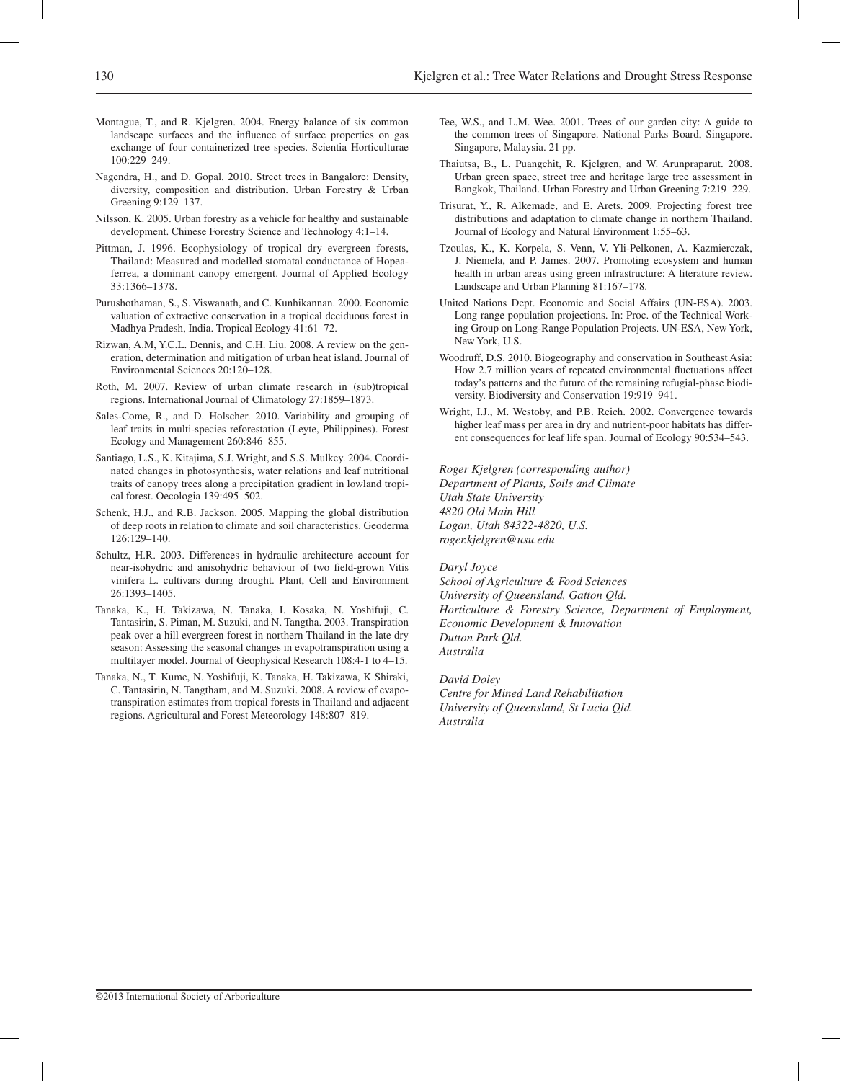- Montague, T., and R. Kjelgren. 2004. Energy balance of six common landscape surfaces and the influence of surface properties on gas exchange of four containerized tree species. Scientia Horticulturae 100:229–249.
- Nagendra, H., and D. Gopal. 2010. Street trees in Bangalore: Density, diversity, composition and distribution. Urban Forestry & Urban Greening 9:129–137.
- Nilsson, K. 2005. Urban forestry as a vehicle for healthy and sustainable development. Chinese Forestry Science and Technology 4:1–14.
- Pittman, J. 1996. Ecophysiology of tropical dry evergreen forests, Thailand: Measured and modelled stomatal conductance of Hopeaferrea, a dominant canopy emergent. Journal of Applied Ecology 33:1366–1378.
- Purushothaman, S., S. Viswanath, and C. Kunhikannan. 2000. Economic valuation of extractive conservation in a tropical deciduous forest in Madhya Pradesh, India. Tropical Ecology 41:61–72.
- Rizwan, A.M, Y.C.L. Dennis, and C.H. Liu. 2008. A review on the generation, determination and mitigation of urban heat island. Journal of Environmental Sciences 20:120–128.
- Roth, M. 2007. Review of urban climate research in (sub)tropical regions. International Journal of Climatology 27:1859–1873.
- Sales-Come, R., and D. Holscher. 2010. Variability and grouping of leaf traits in multi-species reforestation (Leyte, Philippines). Forest Ecology and Management 260:846–855.
- Santiago, L.S., K. Kitajima, S.J. Wright, and S.S. Mulkey. 2004. Coordinated changes in photosynthesis, water relations and leaf nutritional traits of canopy trees along a precipitation gradient in lowland tropical forest. Oecologia 139:495–502.
- Schenk, H.J., and R.B. Jackson. 2005. Mapping the global distribution of deep roots in relation to climate and soil characteristics. Geoderma 126:129–140.
- Schultz, H.R. 2003. Differences in hydraulic architecture account for near-isohydric and anisohydric behaviour of two field-grown Vitis vinifera L. cultivars during drought. Plant, Cell and Environment 26:1393–1405.
- Tanaka, K., H. Takizawa, N. Tanaka, I. Kosaka, N. Yoshifuji, C. Tantasirin, S. Piman, M. Suzuki, and N. Tangtha. 2003. Transpiration peak over a hill evergreen forest in northern Thailand in the late dry season: Assessing the seasonal changes in evapotranspiration using a multilayer model. Journal of Geophysical Research 108:4-1 to 4–15.
- Tanaka, N., T. Kume, N. Yoshifuji, K. Tanaka, H. Takizawa, K Shiraki, C. Tantasirin, N. Tangtham, and M. Suzuki. 2008. A review of evapotranspiration estimates from tropical forests in Thailand and adjacent regions. Agricultural and Forest Meteorology 148:807–819.
- Tee, W.S., and L.M. Wee. 2001. Trees of our garden city: A guide to the common trees of Singapore. National Parks Board, Singapore. Singapore, Malaysia. 21 pp.
- Thaiutsa, B., L. Puangchit, R. Kjelgren, and W. Arunpraparut. 2008. Urban green space, street tree and heritage large tree assessment in Bangkok, Thailand. Urban Forestry and Urban Greening 7:219–229.
- Trisurat, Y., R. Alkemade, and E. Arets. 2009. Projecting forest tree distributions and adaptation to climate change in northern Thailand. Journal of Ecology and Natural Environment 1:55–63.
- Tzoulas, K., K. Korpela, S. Venn, V. Yli-Pelkonen, A. Kazmierczak, J. Niemela, and P. James. 2007. Promoting ecosystem and human health in urban areas using green infrastructure: A literature review. Landscape and Urban Planning 81:167–178.
- United Nations Dept. Economic and Social Affairs (UN-ESA). 2003. Long range population projections. In: Proc. of the Technical Working Group on Long-Range Population Projects. UN-ESA, New York, New York, U.S.
- Woodruff, D.S. 2010. Biogeography and conservation in Southeast Asia: How 2.7 million years of repeated environmental fluctuations affect today's patterns and the future of the remaining refugial-phase biodiversity. Biodiversity and Conservation 19:919–941.
- Wright, I.J., M. Westoby, and P.B. Reich. 2002. Convergence towards higher leaf mass per area in dry and nutrient-poor habitats has different consequences for leaf life span. Journal of Ecology 90:534–543.

*Roger Kjelgren (corresponding author) Department of Plants, Soils and Climate Utah State University 4820 Old Main Hill Logan, Utah 84322-4820, U.S. roger.kjelgren@usu.edu*

#### *Daryl Joyce*

*School of Agriculture & Food Sciences University of Queensland, Gatton Qld. Horticulture & Forestry Science, Department of Employment, Economic Development & Innovation Dutton Park Qld. Australia*

*David Doley Centre for Mined Land Rehabilitation University of Queensland, St Lucia Qld. Australia*